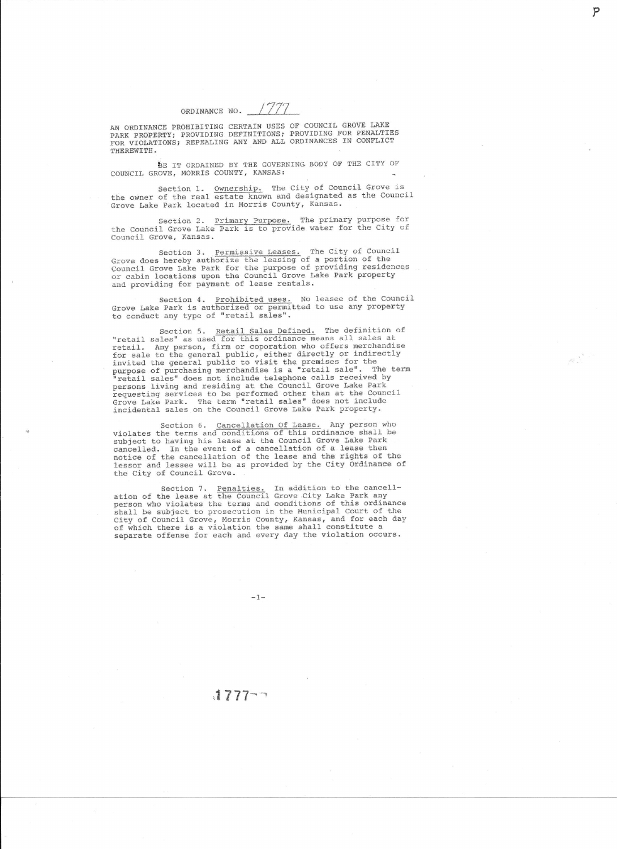ORDINANCE NO. 1777

AN ORDINANCE PROHIBITING CERTAIN USES OF COUNCIL GROVE LAKE PARK PROPERTY; PROVIDING DEFINITIONS; PROVIDING FOR PENALTIES FOR VIOLATIONS; REPEALING ANY AND ALL ORDINANCES IN CONFLICT THEREWITH.

p

 $\label{eq:2} \rho_{\mathbf{k}}^{\rm eff} = \frac{\lambda}{\lambda}$ 

BE IT ORDAINED BY THE GOVERNING BODY OF THE CITY OF COUNCIL GROVE, MORRIS COUNTY, KANSAS:

Section 1. Ownership, The City of Council Grove is the owner of the real estate known and designated as the Council Grove Lake Park located in Morris County, Kansas.

Section 2. Primary Purpose. The primary purpose for the Council Grove Lake Park is to provide water for the City of Council Grove, Kansas.

Section 3. Permissive Leases. The City of Council Grove does hereby authorize the leasing of a portion of the Council Grove Lake Park for the purpose of providing residence<br>or cabin locations upon the Council Grove Lake Park property and providing for payment of lease rentals.

Section 4. Prohibited uses. No leasee of the Council Grove Lake Park is authorized or permitted to use any property to conduct anY type of "retail sales".

Section 5. Retail Sales Defined. The definition of<br>"retail sales" as used for this ordinance means all sales at<br>retail. Any person, firm or coporation who offers merchandise<br>for sale to the general public, either directly incidental sales on the Council Grove Lake Park property.

Section 6. Cancellation Of Lease. Any person who<br>violates the terms and conditions of this ordinance shall be subject to having his lease at the Council Grove Lake Park cancelled. In the event of a cancellation of a lease then notice of the cancellation of the lease and the rights of the lessor and lessee will be as provided by the City Ordinance of the City of Council Grove.

Section 7. Penalties. In addition to the cancell-ation of the lease at the Council Grove City Lake Park any person who violates the terms and conditions of this ordinance shall be subject to prosecution in the Municipal Court of the City of Council Grove, Morris County, Kansas, and for each day of which there is a violation the same shall constitute a separate offense for each and every day the violation occurs.

**-1-**

## $1777 - -$